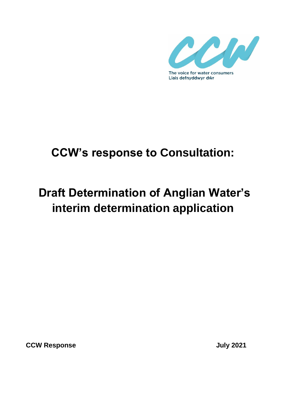

## **CCW's response to Consultation:**

# **Draft Determination of Anglian Water's interim determination application**

**CCW Response CCW Response**